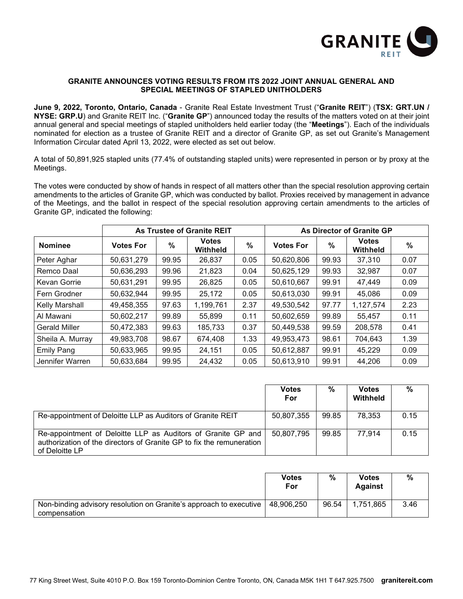

## **GRANITE ANNOUNCES VOTING RESULTS FROM ITS 2022 JOINT ANNUAL GENERAL AND SPECIAL MEETINGS OF STAPLED UNITHOLDERS**

**June 9, 2022, Toronto, Ontario, Canada** - Granite Real Estate Investment Trust ("**Granite REIT**") (**TSX: GRT.UN / NYSE: GRP.U**) and Granite REIT Inc. ("**Granite GP**") announced today the results of the matters voted on at their joint annual general and special meetings of stapled unitholders held earlier today (the "**Meetings**"). Each of the individuals nominated for election as a trustee of Granite REIT and a director of Granite GP, as set out Granite's Management Information Circular dated April 13, 2022, were elected as set out below.

A total of 50,891,925 stapled units (77.4% of outstanding stapled units) were represented in person or by proxy at the Meetings.

The votes were conducted by show of hands in respect of all matters other than the special resolution approving certain amendments to the articles of Granite GP, which was conducted by ballot. Proxies received by management in advance of the Meetings, and the ballot in respect of the special resolution approving certain amendments to the articles of Granite GP, indicated the following:

|                      | <b>As Trustee of Granite REIT</b> |       |                          |               | As Director of Granite GP |               |                                 |               |
|----------------------|-----------------------------------|-------|--------------------------|---------------|---------------------------|---------------|---------------------------------|---------------|
| <b>Nominee</b>       | <b>Votes For</b>                  | $\%$  | <b>Votes</b><br>Withheld | $\frac{9}{6}$ | <b>Votes For</b>          | $\frac{0}{0}$ | <b>Votes</b><br><b>Withheld</b> | $\frac{0}{0}$ |
| Peter Aghar          | 50,631,279                        | 99.95 | 26,837                   | 0.05          | 50,620,806                | 99.93         | 37,310                          | 0.07          |
| Remco Daal           | 50,636,293                        | 99.96 | 21,823                   | 0.04          | 50,625,129                | 99.93         | 32,987                          | 0.07          |
| Kevan Gorrie         | 50,631,291                        | 99.95 | 26,825                   | 0.05          | 50,610,667                | 99.91         | 47,449                          | 0.09          |
| Fern Grodner         | 50,632,944                        | 99.95 | 25,172                   | 0.05          | 50,613,030                | 99.91         | 45,086                          | 0.09          |
| Kelly Marshall       | 49,458,355                        | 97.63 | 1,199,761                | 2.37          | 49,530,542                | 97.77         | 1,127,574                       | 2.23          |
| Al Mawani            | 50,602,217                        | 99.89 | 55,899                   | 0.11          | 50,602,659                | 99.89         | 55,457                          | 0.11          |
| <b>Gerald Miller</b> | 50,472,383                        | 99.63 | 185,733                  | 0.37          | 50,449,538                | 99.59         | 208,578                         | 0.41          |
| Sheila A. Murray     | 49,983,708                        | 98.67 | 674,408                  | 1.33          | 49,953,473                | 98.61         | 704,643                         | 1.39          |
| <b>Emily Pang</b>    | 50,633,965                        | 99.95 | 24,151                   | 0.05          | 50,612,887                | 99.91         | 45,229                          | 0.09          |
| Jennifer Warren      | 50,633,684                        | 99.95 | 24,432                   | 0.05          | 50,613,910                | 99.91         | 44,206                          | 0.09          |

|                                                                                                                                                        | <b>Votes</b><br>For | %     | <b>Votes</b><br><b>Withheld</b> | %    |
|--------------------------------------------------------------------------------------------------------------------------------------------------------|---------------------|-------|---------------------------------|------|
| Re-appointment of Deloitte LLP as Auditors of Granite REIT                                                                                             | 50,807,355          | 99.85 | 78.353                          | 0.15 |
| Re-appointment of Deloitte LLP as Auditors of Granite GP and<br>authorization of the directors of Granite GP to fix the remuneration<br>of Deloitte LP | 50,807,795          | 99.85 | 77.914                          | 0.15 |

|                                                                                      | <b>Votes</b><br>For | %     | <b>Votes</b><br><b>Against</b> | %    |
|--------------------------------------------------------------------------------------|---------------------|-------|--------------------------------|------|
| Non-binding advisory resolution on Granite's approach to executive  <br>compensation | 48,906,250          | 96.54 | 1,751,865                      | 3.46 |